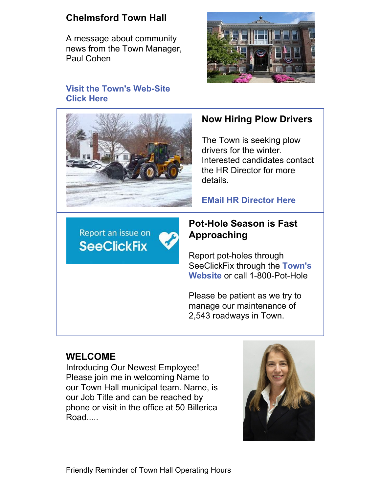# **Chelmsford Town Hall**

A message about community news from the Town Manager, Paul Cohen



#### **Visit the Town's [Web-Site](https://www.chelmsfordma.gov) Click Here**



# **Now Hiring Plow Drivers**

The Town is seeking plow drivers for the winter. Interested candidates contact the HR Director for more details.

**EMail HR [Director](mailto:jparziale@chelmsfordma.gov) Here**

Report an issue on **SeeClickFix** 

### **Pot-Hole Season is Fast Approaching**

Report pot-holes through SeeClickFix through the **Town's Website** or call [1-800-Pot-Hole](https://www.townofchelmsford.us/524/SeeClickFix)

Please be patient as we try to manage our maintenance of 2,543 roadways in Town.

# **WELCOME**

Introducing Our Newest Employee! Please join me in welcoming Name to our Town Hall municipal team. Name, is our Job Title and can be reached by phone or visit in the office at 50 Billerica Road.....